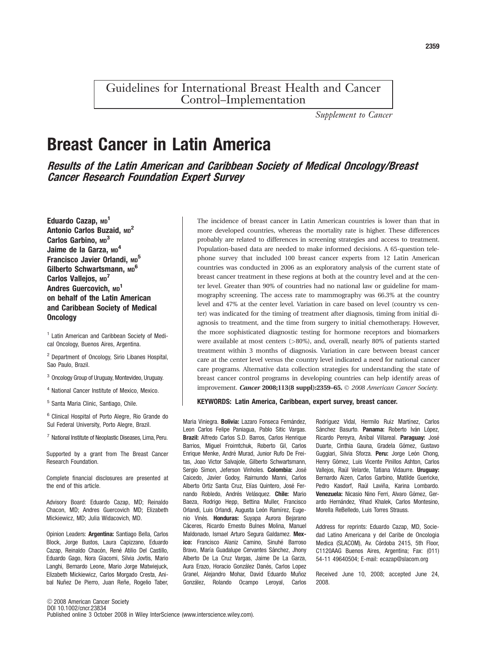Guidelines for International Breast Health and Cancer Control–Implementation

Supplement to Cancer

# Breast Cancer in Latin America

Results of the Latin American and Caribbean Society of Medical Oncology/Breast Cancer Research Foundation Expert Survey

Eduardo Cazap, MD<sup>1</sup> Antonio Carlos Buzaid, MD<sup>2</sup> Carlos Garbino, MD<sup>3</sup> Jaime de la Garza, MD<sup>4</sup> Francisco Javier Orlandi, MD<sup>5</sup> Gilberto Schwartsmann, MD<sup>6</sup> Carlos Vallejos, MD<sup>7</sup> Andres Guercovich, MD<sup>1</sup> on behalf of the Latin American and Caribbean Society of Medical **Oncology** 

<sup>1</sup> Latin American and Caribbean Society of Medical Oncology, Buenos Aires, Argentina.

<sup>2</sup> Department of Oncology, Sirio Libanes Hospital, Sao Paulo, Brazil.

<sup>3</sup> Oncology Group of Uruguay, Montevideo, Uruguay.

<sup>4</sup> National Cancer Institute of Mexico, Mexico.

<sup>5</sup> Santa Maria Clinic, Santiago, Chile.

<sup>6</sup> Clinical Hospital of Porto Alegre, Rio Grande do Sul Federal University, Porto Alegre, Brazil.

<sup>7</sup> National Institute of Neoplastic Diseases, Lima, Peru.

Supported by a grant from The Breast Cancer Research Foundation.

Complete financial disclosures are presented at the end of this article.

Advisory Board: Eduardo Cazap, MD; Reinaldo Chacon, MD; Andres Guercovich MD; Elizabeth Mickiewicz, MD; Julia Widacovich, MD.

Opinion Leaders: Argentina: Santiago Bella, Carlos Block, Jorge Bustos, Laura Capizzano, Eduardo Cazap, Reinaldo Chacón, René Atilio Del Castillo, Eduardo Gago, Nora Giacomi, Silvia Jovtis, Mario Langhi, Bernardo Leone, Mario Jorge Matwiejuck, Elizabeth Mickiewicz, Carlos Morgado Cresta, Anibal Nuñez De Pierro, Juan Reñe, Rogelio Taber, The incidence of breast cancer in Latin American countries is lower than that in more developed countries, whereas the mortality rate is higher. These differences probably are related to differences in screening strategies and access to treatment. Population-based data are needed to make informed decisions. A 65-question telephone survey that included 100 breast cancer experts from 12 Latin American countries was conducted in 2006 as an exploratory analysis of the current state of breast cancer treatment in these regions at both at the country level and at the center level. Greater than 90% of countries had no national law or guideline for mammography screening. The access rate to mammography was 66.3% at the country level and 47% at the center level. Variation in care based on level (country vs center) was indicated for the timing of treatment after diagnosis, timing from initial diagnosis to treatment, and the time from surgery to initial chemotherapy. However, the more sophisticated diagnostic testing for hormone receptors and biomarkers were available at most centers (>80%), and, overall, nearly 80% of patients started treatment within 3 months of diagnosis. Variation in care between breast cancer care at the center level versus the country level indicated a need for national cancer care programs. Alternative data collection strategies for understanding the state of breast cancer control programs in developing countries can help identify areas of improvement. Cancer 2008;113(8 suppl):2359-65. © 2008 American Cancer Society.

KEYWORDS: Latin America, Caribbean, expert survey, breast cancer.

Maria Viniegra. Bolivia: Lazaro Fonseca Fernández, Leon Carlos Felipe Paniagua, Pablo Sitic Vargas. Brazil: Alfredo Carlos S.D. Barros, Carlos Henrique Barrios, Miguel Froimtchuk, Roberto Gil, Carlos Enrique Menke, André Murad, Junior Rufo De Freitas, Joao Victor Salvajole, Gilberto Schwartsmann, Sergio Simon, Jeferson Vinholes. Colombia: José Caicedo, Javier Godoy, Rairnundo Manni, Carlos Alberto Ortiz Santa Cruz, Elías Quintero, José Fernando Robledo, Andrés Velásquez. Chile: Mario Baeza, Rodrigo Hepp, Bettina Muller, Francisco Orlandi, Luis Orlandi, Augusta León Ramírez, Eugenio Vinés. Honduras: Suyapa Aurora Bejarano Cáceres, Ricardo Ernesto Bulnes Molina, Manuel Maldonado, Ismael Arturo Segura Galdamez. Mexico: Francisco Alaniz Camino, Sinuhé Barroso Bravo, María Guadalupe Cervantes Sánchez, Jhony Alberto De La Cruz Vargas, Jaime De La Garza, Aura Erazo, Horacio González Danés, Carlos Lopez Granel, Alejandro Mohar, David Eduardo Muñoz González, Rolando Ocampo Leroyal, Carlos

Rodríguez Vidal, Hermilo Ruiz Martínez, Carlos Sánchez Basurto. Panama: Roberto Iván López, Ricardo Pereyra, Aníbal Villareal. Paraguay: José Duarte, Cinthia Gauna, Gradela Gómez, Gustavo Guggiari, Silvia Sforza. Peru: Jorge León Chong, Henry Gómez, Luis Vicente Pinillos Ashton, Carlos Vallejos, Raúl Velarde, Tatiana Vidaurre. Uruguay: Bernardo Aizen, Carlos Garbino, Matilde Guericke, Pedro Kasdorf, Raúl Laviña, Karina Lombardo. Venezuela: Nicasio Nino Ferri, Alvaro Gómez. Gerardo Hernández, Yihad Khalek, Carlos Montesino, Morella ReBelledo, Luis Torres Strauss.

Address for reprints: Eduardo Cazap, MD, Sociedad Latino Americana y del Caribe de Oncologia Medica (SLACOM), Av. Córdoba 2415, 5th Floor, C1120AAG Buenos Aires, Argentina; Fax: (011) 54-11 49640504; E-mail: ecazap@slacom.org

Received June 10, 2008; accepted June 24, 2008.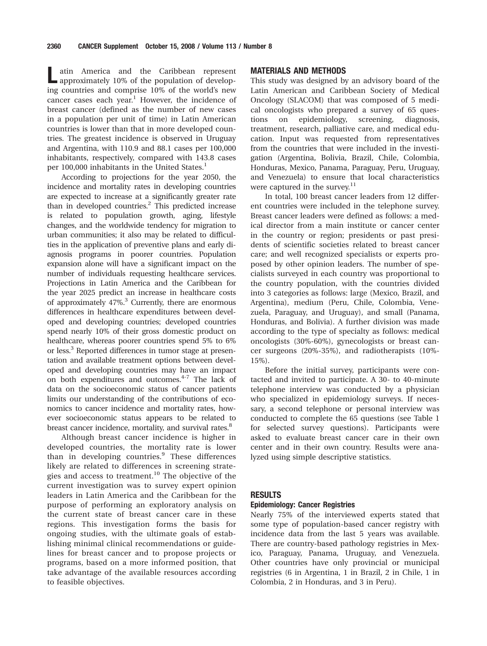L atin America and the Caribbean represent approximately 10% of the population of developing countries and comprise 10% of the world's new cancer cases each year.<sup>1</sup> However, the incidence of breast cancer (defined as the number of new cases in a population per unit of time) in Latin American countries is lower than that in more developed countries. The greatest incidence is observed in Uruguay and Argentina, with 110.9 and 88.1 cases per 100,000 inhabitants, respectively, compared with 143.8 cases per 100,000 inhabitants in the United States.<sup>1</sup>

According to projections for the year 2050, the incidence and mortality rates in developing countries are expected to increase at a significantly greater rate than in developed countries. $2$  This predicted increase is related to population growth, aging, lifestyle changes, and the worldwide tendency for migration to urban communities; it also may be related to difficulties in the application of preventive plans and early diagnosis programs in poorer countries. Population expansion alone will have a significant impact on the number of individuals requesting healthcare services. Projections in Latin America and the Caribbean for the year 2025 predict an increase in healthcare costs of approximately  $47\%$ <sup>3</sup> Currently, there are enormous differences in healthcare expenditures between developed and developing countries; developed countries spend nearly 10% of their gross domestic product on healthcare, whereas poorer countries spend 5% to 6% or less.3 Reported differences in tumor stage at presentation and available treatment options between developed and developing countries may have an impact on both expenditures and outcomes.<sup>4-7</sup> The lack of data on the socioeconomic status of cancer patients limits our understanding of the contributions of economics to cancer incidence and mortality rates, however socioeconomic status appears to be related to breast cancer incidence, mortality, and survival rates.<sup>8</sup>

Although breast cancer incidence is higher in developed countries, the mortality rate is lower than in developing countries.<sup>9</sup> These differences likely are related to differences in screening strategies and access to treatment.<sup>10</sup> The objective of the current investigation was to survey expert opinion leaders in Latin America and the Caribbean for the purpose of performing an exploratory analysis on the current state of breast cancer care in these regions. This investigation forms the basis for ongoing studies, with the ultimate goals of establishing minimal clinical recommendations or guidelines for breast cancer and to propose projects or programs, based on a more informed position, that take advantage of the available resources according to feasible objectives.

# MATERIALS AND METHODS

This study was designed by an advisory board of the Latin American and Caribbean Society of Medical Oncology (SLACOM) that was composed of 5 medical oncologists who prepared a survey of 65 questions on epidemiology, screening, diagnosis, treatment, research, palliative care, and medical education. Input was requested from representatives from the countries that were included in the investigation (Argentina, Bolivia, Brazil, Chile, Colombia, Honduras, Mexico, Panama, Paraguay, Peru, Uruguay, and Venezuela) to ensure that local characteristics were captured in the survey. $11$ 

In total, 100 breast cancer leaders from 12 different countries were included in the telephone survey. Breast cancer leaders were defined as follows: a medical director from a main institute or cancer center in the country or region; presidents or past presidents of scientific societies related to breast cancer care; and well recognized specialists or experts proposed by other opinion leaders. The number of specialists surveyed in each country was proportional to the country population, with the countries divided into 3 categories as follows: large (Mexico, Brazil, and Argentina), medium (Peru, Chile, Colombia, Venezuela, Paraguay, and Uruguay), and small (Panama, Honduras, and Bolivia). A further division was made according to the type of specialty as follows: medical oncologists (30%-60%), gynecologists or breast cancer surgeons (20%-35%), and radiotherapists (10%- 15%).

Before the initial survey, participants were contacted and invited to participate. A 30- to 40-minute telephone interview was conducted by a physician who specialized in epidemiology surveys. If necessary, a second telephone or personal interview was conducted to complete the 65 questions (see Table 1 for selected survey questions). Participants were asked to evaluate breast cancer care in their own center and in their own country. Results were analyzed using simple descriptive statistics.

### RESULTS

#### Epidemiology: Cancer Registries

Nearly 75% of the interviewed experts stated that some type of population-based cancer registry with incidence data from the last 5 years was available. There are country-based pathology registries in Mexico, Paraguay, Panama, Uruguay, and Venezuela. Other countries have only provincial or municipal registries (6 in Argentina, 1 in Brazil, 2 in Chile, 1 in Colombia, 2 in Honduras, and 3 in Peru).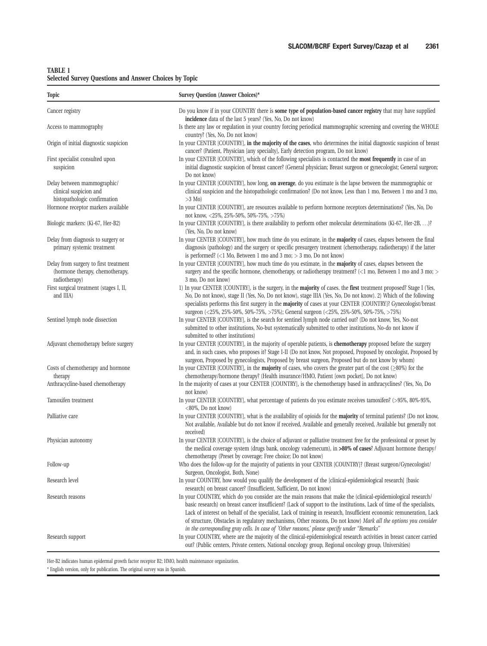| <b>TABLE 1</b>                                        |  |  |
|-------------------------------------------------------|--|--|
| Selected Survey Questions and Answer Choices by Topic |  |  |

| <b>Topic</b>                                                                              | Survey Question (Answer Choices)*                                                                                                                                                                                                                                                                                                                                                                                                                                                                                                                                                |
|-------------------------------------------------------------------------------------------|----------------------------------------------------------------------------------------------------------------------------------------------------------------------------------------------------------------------------------------------------------------------------------------------------------------------------------------------------------------------------------------------------------------------------------------------------------------------------------------------------------------------------------------------------------------------------------|
| Cancer registry                                                                           | Do you know if in your COUNTRY there is some type of population-based cancer registry that may have supplied                                                                                                                                                                                                                                                                                                                                                                                                                                                                     |
| Access to mammography                                                                     | incidence data of the last 5 years? (Yes, No, Do not know)<br>Is there any law or regulation in your country forcing periodical mammographic screening and covering the WHOLE                                                                                                                                                                                                                                                                                                                                                                                                    |
| Origin of initial diagnostic suspicion                                                    | country? (Yes, No, Do not know)<br>In your CENTER [COUNTRY], in the majority of the cases, who determines the initial diagnostic suspicion of breast<br>cancer? (Patient, Physician [any specialty], Early detection program, Do not know)                                                                                                                                                                                                                                                                                                                                       |
| First specialist consulted upon<br>suspicion                                              | In your CENTER [COUNTRY], which of the following specialists is contacted the most frequently in case of an<br>initial diagnostic suspicion of breast cancer? (General physician; Breast surgeon or gynecologist; General surgeon;<br>Do not know)                                                                                                                                                                                                                                                                                                                               |
| Delay between mammographic/<br>clinical suspicion and<br>histopathologic confirmation     | In your CENTER [COUNTRY], how long, on average, do you estimate is the lapse between the mammographic or<br>clinical suspicion and the histopathologic confirmation? (Do not know, Less than 1 mo, Between 1 mo and 3 mo,<br>$>3$ Mo                                                                                                                                                                                                                                                                                                                                             |
| Hormone receptor markers available                                                        | In your CENTER [COUNTRY], are resources available to perform hormone receptors determinations? (Yes, No, Do<br>not know, <25%, 25%-50%, 50%-75%, >75%)                                                                                                                                                                                                                                                                                                                                                                                                                           |
| Biologic markers: (Ki-67, Her-B2)                                                         | In your CENTER [COUNTRY], is there availability to perform other molecular determinations (Ki-67, Her-2B, )?<br>(Yes, No, Do not know)                                                                                                                                                                                                                                                                                                                                                                                                                                           |
| Delay from diagnosis to surgery or<br>primary systemic treatment                          | In your CENTER [COUNTRY], how much time do you estimate, in the majority of cases, elapses between the final<br>diagnosis (pathology) and the surgery or specific presurgery treatment (chemotherapy, radiotherapy) if the latter<br>is performed? $(<$ 1 Mo, Between 1 mo and 3 mo; $>$ 3 mo, Do not know)                                                                                                                                                                                                                                                                      |
| Delay from surgery to first treatment<br>(hormone therapy, chemotherapy,<br>radiotherapy) | In your CENTER [COUNTRY], how much time do you estimate, in the majority of cases, elapses between the<br>surgery and the specific hormone, chemotherapy, or radiotherapy treatment? (<1 mo, Between 1 mo and 3 mo; ><br>3 mo, Do not know)                                                                                                                                                                                                                                                                                                                                      |
| First surgical treatment (stages I, II,<br>and IIIA)                                      | 1) In your CENTER [COUNTRY], is the surgery, in the majority of cases. the first treatment proposed? Stage I (Yes,<br>No, Do not know), stage II (Yes, No, Do not know), stage IIIA (Yes, No, Do not know). 2) Which of the following<br>specialists performs this first surgery in the majority of cases at your CENTER [COUNTRY]? Gynecologist/breast<br>surgeon (<25%, 25%-50%, 50%-75%, >75%); General surgeon (<25%, 25%-50%, 50%-75%, >75%)                                                                                                                                |
| Sentinel lymph node dissection                                                            | In your CENTER [COUNTRY], is the search for sentinel lymph node carried out? (Do not know, Yes, No-not<br>submitted to other institutions, No-but systematically submitted to other institutions, No-do not know if<br>submitted to other institutions)                                                                                                                                                                                                                                                                                                                          |
| Adjuvant chemotherapy before surgery                                                      | In your CENTER [COUNTRY], in the majority of operable patients, is chemotherapy proposed before the surgery<br>and, in such cases, who proposes it? Stage I-II (Do not know, Not proposed, Proposed by oncologist, Proposed by<br>surgeon, Proposed by gynecologists, Proposed by breast surgeon, Proposed but do not know by whom)                                                                                                                                                                                                                                              |
| Costs of chemotherapy and hormone<br>therapy                                              | In your CENTER [COUNTRY], in the <b>majority</b> of cases, who covers the greater part of the cost ( $\geq$ 80%) for the<br>chemotherapy/hormone therapy? (Health insurance/HMO, Patient [own pocket], Do not know)                                                                                                                                                                                                                                                                                                                                                              |
| Anthracycline-based chemotherapy                                                          | In the majority of cases at your CENTER [COUNTRY], is the chemotherapy based in anthracyclines? (Yes, No, Do<br>not know)                                                                                                                                                                                                                                                                                                                                                                                                                                                        |
| Tamoxifen treatment                                                                       | In your CENTER [COUNTRY], what percentage of patients do you estimate receives tamoxifen? (>95%, 80%-95%,<br><80%, Do not know)                                                                                                                                                                                                                                                                                                                                                                                                                                                  |
| Palliative care                                                                           | In your CENTER [COUNTRY], what is the availability of opioids for the majority of terminal patients? (Do not know,<br>Not available, Available but do not know if received, Available and generally received, Available but generally not<br>received)                                                                                                                                                                                                                                                                                                                           |
| Physician autonomy                                                                        | In your CENTER [COUNTRY], is the choice of adjuvant or palliative treatment free for the professional or preset by<br>the medical coverage system (drugs bank, oncology vademecum), in >80% of cases? Adjuvant hormone therapy/<br>chemotherapy (Preset by coverage; Free choice; Do not know)                                                                                                                                                                                                                                                                                   |
| Follow-up                                                                                 | Who does the follow-up for the majority of patients in your CENTER [COUNTRY]? (Breast surgeon/Gynecologist/<br>Surgeon, Oncologist, Both, None)                                                                                                                                                                                                                                                                                                                                                                                                                                  |
| Research level                                                                            | In your COUNTRY, how would you qualify the development of the [clinical-epidemiological research] [basic<br>research] on breast cancer? (Insufficient, Sufficient, Do not know)                                                                                                                                                                                                                                                                                                                                                                                                  |
| Research reasons                                                                          | In your COUNTRY, which do you consider are the main reasons that make the (clinical-epidemiological research/<br>basic research) on breast cancer insufficient? (Lack of support to the institutions, Lack of time of the specialists,<br>Lack of interest on behalf of the specialist, Lack of training in research, Insufficient economic remuneration, Lack<br>of structure, Obstacles in regulatory mechanisms, Other reasons, Do not know) Mark all the options you consider<br>in the corresponding gray cells. In case of 'Other reasons,' please specify under "Remarks" |
| Research support                                                                          | In your COUNTRY, where are the majority of the clinical-epidemiological research activities in breast cancer carried<br>out? (Public centers, Private centers, National oncology group, Regional oncology group, Universities)                                                                                                                                                                                                                                                                                                                                                   |

Her-B2 indicates human epidermal growth factor receptor B2; HMO, health maintenance organization.

\* English version, only for publication. The original survey was in Spanish.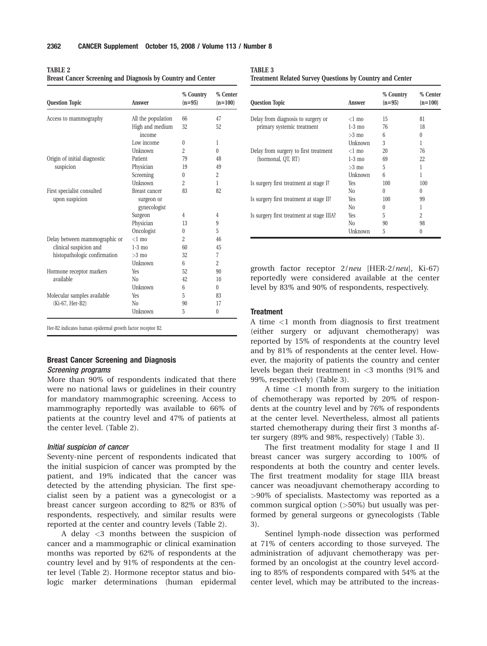| <b>Question Topic</b>         | Answer                    | % Country<br>$(n=95)$    | % Center<br>$(n=100)$ |
|-------------------------------|---------------------------|--------------------------|-----------------------|
| Access to mammography         | All the population        | 66                       | 47                    |
|                               | High and medium<br>income | 32                       | 52                    |
|                               | Low income                | $\theta$                 | 1                     |
|                               | <b>Unknown</b>            | $\overline{\mathcal{L}}$ | $\theta$              |
| Origin of initial diagnostic  | Patient                   | 79                       | 48                    |
| suspicion                     | Physician                 | 19                       | 49                    |
|                               | Screening                 | $\theta$                 | $\overline{c}$        |
|                               | Unknown                   | $\overline{c}$           | 1                     |
| First specialist consulted    | Breast cancer             | 83                       | 82                    |
| upon suspicion                | surgeon or                |                          |                       |
|                               | gynecologist              |                          |                       |
|                               | Surgeon                   | 4                        | 4                     |
|                               | Physician                 | 13                       | 9                     |
|                               | Oncologist                | $\theta$                 | 5                     |
| Delay between mammographic or | $<1$ mo                   | $\overline{c}$           | 46                    |
| clinical suspicion and        | $1-3$ mo                  | 60                       | 45                    |
| histopathologic confirmation  | $>3$ mo                   | 32                       | $\overline{7}$        |
|                               | Unknown                   | 6                        | $\overline{2}$        |
| Hormone receptor markers      | <b>Yes</b>                | 52                       | 90                    |
| available                     | N <sub>0</sub>            | 42                       | 10                    |
|                               | Unknown                   | 6                        | $\theta$              |
| Molecular samples available   | Yes                       | 5                        | 83                    |
| (Ki-67, Her-B2)               | No.                       | 90                       | 17                    |
|                               | Unknown                   | 5                        | $\bf{0}$              |

TABLE 2 Breast Cancer Screening and Diagnosis by Country and Center

Her-B2 indicates human epidermal growth factor receptor B2.

# Breast Cancer Screening and Diagnosis

# Screening programs

More than 90% of respondents indicated that there were no national laws or guidelines in their country for mandatory mammographic screening. Access to mammography reportedly was available to 66% of patients at the country level and 47% of patients at the center level. (Table 2).

#### Initial suspicion of cancer

Seventy-nine percent of respondents indicated that the initial suspicion of cancer was prompted by the patient, and 19% indicated that the cancer was detected by the attending physician. The first specialist seen by a patient was a gynecologist or a breast cancer surgeon according to 82% or 83% of respondents, respectively, and similar results were reported at the center and country levels (Table 2).

A delay <3 months between the suspicion of cancer and a mammographic or clinical examination months was reported by 62% of respondents at the country level and by 91% of respondents at the center level (Table 2). Hormone receptor status and biologic marker determinations (human epidermal

| <b>TABLE 3</b>                                           |  |
|----------------------------------------------------------|--|
| Treatment Related Survey Questions by Country and Center |  |

| <b>Question Topic</b>                     | Answer         | % Country<br>$(n=95)$ | % Center<br>$(n=100)$ |
|-------------------------------------------|----------------|-----------------------|-----------------------|
| Delay from diagnosis to surgery or        | $<$ l mo       | 15                    | 81                    |
| primary systemic treatment                | $1-3$ mo       | 76                    | 18                    |
|                                           | $>3$ mo        | 6                     | $\theta$              |
|                                           | <b>Unknown</b> | 3                     | 1                     |
| Delay from surgery to first treatment     | $<$ l mo       | 20                    | 76                    |
| (hormonal, QT, RT)                        | $1-3$ mo       | 69                    | 22                    |
|                                           | $>3$ mo        | 5                     | 1                     |
|                                           | Unknown        | 6                     | 1                     |
| Is surgery first treatment at stage I?    | Yes.           | 100                   | 100                   |
|                                           | N <sub>0</sub> | $\theta$              | $\left($              |
| Is surgery first treatment at stage II?   | Yes            | 100                   | 99                    |
|                                           | N <sub>0</sub> | $\theta$              | 1                     |
| Is surgery first treatment at stage IIIA? | Yes            | 5                     | 2                     |
|                                           | No.            | 90                    | 98                    |
|                                           | Unknown        | 5                     | 0                     |

growth factor receptor 2/neu [HER-2/neu], Ki-67) reportedly were considered available at the center level by 83% and 90% of respondents, respectively.

# **Treatment**

A time <1 month from diagnosis to first treatment (either surgery or adjuvant chemotherapy) was reported by 15% of respondents at the country level and by 81% of respondents at the center level. However, the majority of patients the country and center levels began their treatment in <3 months (91% and 99%, respectively) (Table 3).

A time <1 month from surgery to the initiation of chemotherapy was reported by 20% of respondents at the country level and by 76% of respondents at the center level. Nevertheless, almost all patients started chemotherapy during their first 3 months after surgery (89% and 98%, respectively) (Table 3).

The first treatment modality for stage I and II breast cancer was surgery according to 100% of respondents at both the country and center levels. The first treatment modality for stage IIIA breast cancer was neoadjuvant chemotherapy according to >90% of specialists. Mastectomy was reported as a common surgical option (>50%) but usually was performed by general surgeons or gynecologists (Table 3).

Sentinel lymph-node dissection was performed at 71% of centers according to those surveyed. The administration of adjuvant chemotherapy was performed by an oncologist at the country level according to 85% of respondents compared with 54% at the center level, which may be attributed to the increas-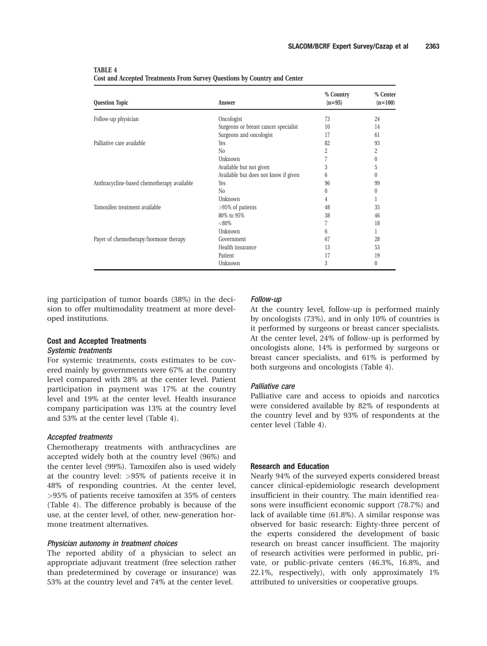| <b>Question Topic</b>                      | Answer                               | % Country<br>$(n=95)$ | % Center<br>$(n=100)$ |
|--------------------------------------------|--------------------------------------|-----------------------|-----------------------|
| Follow-up physician                        | Oncologist                           | 73                    | 24                    |
|                                            | Surgeons or breast cancer specialist | 10                    | 14                    |
|                                            | Surgeons and oncologist              | 17                    | 61                    |
| Palliative care available                  | Yes                                  | 82                    | 93                    |
|                                            | N <sub>0</sub>                       | 2                     | 2                     |
|                                            | Unknown                              |                       | $\theta$              |
|                                            | Available but not given              | 3                     | 5                     |
|                                            | Available but does not know if given | 6                     | $\Omega$              |
| Anthracycline-based chemotherapy available | Yes                                  | 96                    | 99                    |
|                                            | No                                   | 0                     | $\theta$              |
|                                            | Unknown                              | 4                     | 1                     |
| Tamoxifen treatment available              | >95% of patients                     | 48                    | 35                    |
|                                            | 80% to 95%                           | 38                    | 46                    |
|                                            | $< 80\%$                             |                       | 18                    |
|                                            | Unknown                              | 6                     | 1                     |
| Payer of chemotherapy/hormone therapy      | Government                           | 67                    | 28                    |
|                                            | Health insurance                     | 13                    | 53                    |
|                                            | Patient                              | 17                    | 19                    |
|                                            | Unknown                              | 3                     | $\theta$              |

TABLE 4 Cost and Accepted Treatments From Survey Questions by Country and Center

ing participation of tumor boards (38%) in the decision to offer multimodality treatment at more developed institutions.

# Cost and Accepted Treatments Systemic treatments

For systemic treatments, costs estimates to be covered mainly by governments were 67% at the country level compared with 28% at the center level. Patient participation in payment was 17% at the country level and 19% at the center level. Health insurance company participation was 13% at the country level and 53% at the center level (Table 4).

# Accepted treatments

Chemotherapy treatments with anthracyclines are accepted widely both at the country level (96%) and the center level (99%). Tamoxifen also is used widely at the country level: >95% of patients receive it in 48% of responding countries. At the center level, >95% of patients receive tamoxifen at 35% of centers (Table 4). The difference probably is because of the use, at the center level, of other, new-generation hormone treatment alternatives.

### Physician autonomy in treatment choices

The reported ability of a physician to select an appropriate adjuvant treatment (free selection rather than predetermined by coverage or insurance) was 53% at the country level and 74% at the center level.

# Follow-up

At the country level, follow-up is performed mainly by oncologists (73%), and in only 10% of countries is it performed by surgeons or breast cancer specialists. At the center level, 24% of follow-up is performed by oncologists alone, 14% is performed by surgeons or breast cancer specialists, and 61% is performed by both surgeons and oncologists (Table 4).

# Palliative care

Palliative care and access to opioids and narcotics were considered available by 82% of respondents at the country level and by 93% of respondents at the center level (Table 4).

# Research and Education

Nearly 94% of the surveyed experts considered breast cancer clinical-epidemiologic research development insufficient in their country. The main identified reasons were insufficient economic support (78.7%) and lack of available time (61.8%). A similar response was observed for basic research: Eighty-three percent of the experts considered the development of basic research on breast cancer insufficient. The majority of research activities were performed in public, private, or public-private centers (46.3%, 16.8%, and 22.1%, respectively), with only approximately 1% attributed to universities or cooperative groups.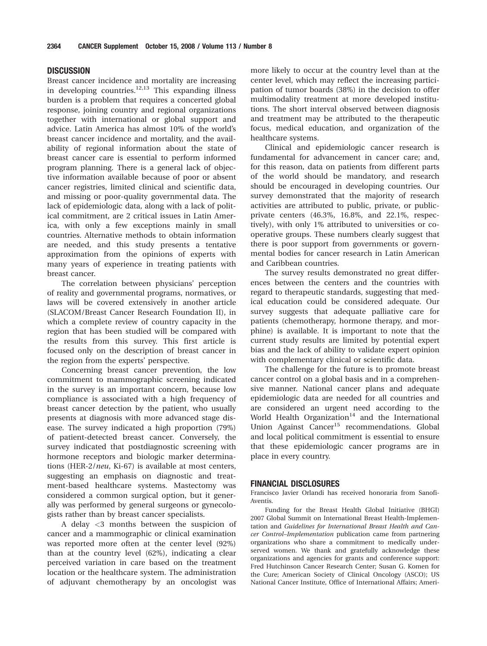#### DISCUSSION

Breast cancer incidence and mortality are increasing in developing countries. $12,13$  This expanding illness burden is a problem that requires a concerted global response, joining country and regional organizations together with international or global support and advice. Latin America has almost 10% of the world's breast cancer incidence and mortality, and the availability of regional information about the state of breast cancer care is essential to perform informed program planning. There is a general lack of objective information available because of poor or absent cancer registries, limited clinical and scientific data, and missing or poor-quality governmental data. The lack of epidemiologic data, along with a lack of political commitment, are 2 critical issues in Latin America, with only a few exceptions mainly in small countries. Alternative methods to obtain information are needed, and this study presents a tentative approximation from the opinions of experts with many years of experience in treating patients with breast cancer.

The correlation between physicians' perception of reality and governmental programs, normatives, or laws will be covered extensively in another article (SLACOM/Breast Cancer Research Foundation II), in which a complete review of country capacity in the region that has been studied will be compared with the results from this survey. This first article is focused only on the description of breast cancer in the region from the experts' perspective.

Concerning breast cancer prevention, the low commitment to mammographic screening indicated in the survey is an important concern, because low compliance is associated with a high frequency of breast cancer detection by the patient, who usually presents at diagnosis with more advanced stage disease. The survey indicated a high proportion (79%) of patient-detected breast cancer. Conversely, the survey indicated that postdiagnostic screening with hormone receptors and biologic marker determinations (HER-2/neu, Ki-67) is available at most centers, suggesting an emphasis on diagnostic and treatment-based healthcare systems. Mastectomy was considered a common surgical option, but it generally was performed by general surgeons or gynecologists rather than by breast cancer specialists.

A delay <3 months between the suspicion of cancer and a mammographic or clinical examination was reported more often at the center level (92%) than at the country level (62%), indicating a clear perceived variation in care based on the treatment location or the healthcare system. The administration of adjuvant chemotherapy by an oncologist was

more likely to occur at the country level than at the center level, which may reflect the increasing participation of tumor boards (38%) in the decision to offer multimodality treatment at more developed institutions. The short interval observed between diagnosis and treatment may be attributed to the therapeutic focus, medical education, and organization of the healthcare systems.

Clinical and epidemiologic cancer research is fundamental for advancement in cancer care; and, for this reason, data on patients from different parts of the world should be mandatory, and research should be encouraged in developing countries. Our survey demonstrated that the majority of research activities are attributed to public, private, or publicprivate centers (46.3%, 16.8%, and 22.1%, respectively), with only 1% attributed to universities or cooperative groups. These numbers clearly suggest that there is poor support from governments or governmental bodies for cancer research in Latin American and Caribbean countries.

The survey results demonstrated no great differences between the centers and the countries with regard to therapeutic standards, suggesting that medical education could be considered adequate. Our survey suggests that adequate palliative care for patients (chemotherapy, hormone therapy, and morphine) is available. It is important to note that the current study results are limited by potential expert bias and the lack of ability to validate expert opinion with complementary clinical or scientific data.

The challenge for the future is to promote breast cancer control on a global basis and in a comprehensive manner. National cancer plans and adequate epidemiologic data are needed for all countries and are considered an urgent need according to the World Health Organization<sup>14</sup> and the International Union Against Cancer<sup>15</sup> recommendations. Global and local political commitment is essential to ensure that these epidemiologic cancer programs are in place in every country.

## FINANCIAL DISCLOSURES

Francisco Javier Orlandi has received honoraria from Sanofi-Aventis.

Funding for the Breast Health Global Initiative (BHGI) 2007 Global Summit on International Breast Health-Implementation and Guidelines for International Breast Health and Cancer Control–Implementation publication came from partnering organizations who share a commitment to medically underserved women. We thank and gratefully acknowledge these organizations and agencies for grants and conference support: Fred Hutchinson Cancer Research Center; Susan G. Komen for the Cure; American Society of Clinical Oncology (ASCO); US National Cancer Institute, Office of International Affairs; Ameri